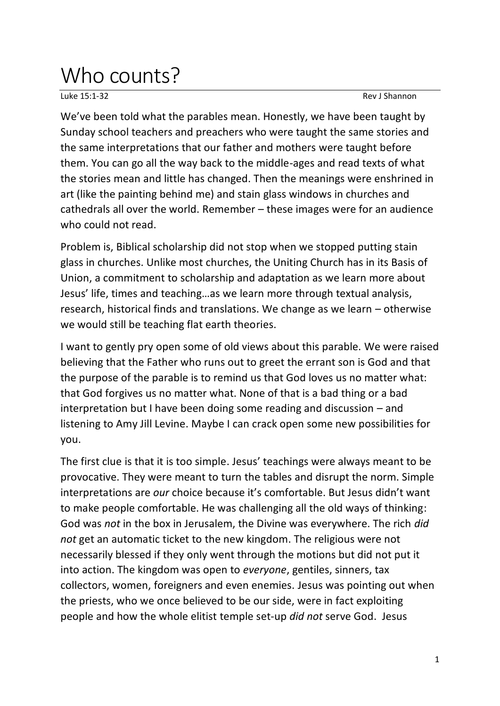## Who counts?

Luke 15:1-32 Rev J Shannon

We've been told what the parables mean. Honestly, we have been taught by Sunday school teachers and preachers who were taught the same stories and the same interpretations that our father and mothers were taught before them. You can go all the way back to the middle-ages and read texts of what the stories mean and little has changed. Then the meanings were enshrined in art (like the painting behind me) and stain glass windows in churches and cathedrals all over the world. Remember – these images were for an audience who could not read.

Problem is, Biblical scholarship did not stop when we stopped putting stain glass in churches. Unlike most churches, the Uniting Church has in its Basis of Union, a commitment to scholarship and adaptation as we learn more about Jesus' life, times and teaching…as we learn more through textual analysis, research, historical finds and translations. We change as we learn – otherwise we would still be teaching flat earth theories.

I want to gently pry open some of old views about this parable. We were raised believing that the Father who runs out to greet the errant son is God and that the purpose of the parable is to remind us that God loves us no matter what: that God forgives us no matter what. None of that is a bad thing or a bad interpretation but I have been doing some reading and discussion – and listening to Amy Jill Levine. Maybe I can crack open some new possibilities for you.

The first clue is that it is too simple. Jesus' teachings were always meant to be provocative. They were meant to turn the tables and disrupt the norm. Simple interpretations are *our* choice because it's comfortable. But Jesus didn't want to make people comfortable. He was challenging all the old ways of thinking: God was *not* in the box in Jerusalem, the Divine was everywhere. The rich *did not* get an automatic ticket to the new kingdom. The religious were not necessarily blessed if they only went through the motions but did not put it into action. The kingdom was open to *everyone*, gentiles, sinners, tax collectors, women, foreigners and even enemies. Jesus was pointing out when the priests, who we once believed to be our side, were in fact exploiting people and how the whole elitist temple set-up *did not* serve God. Jesus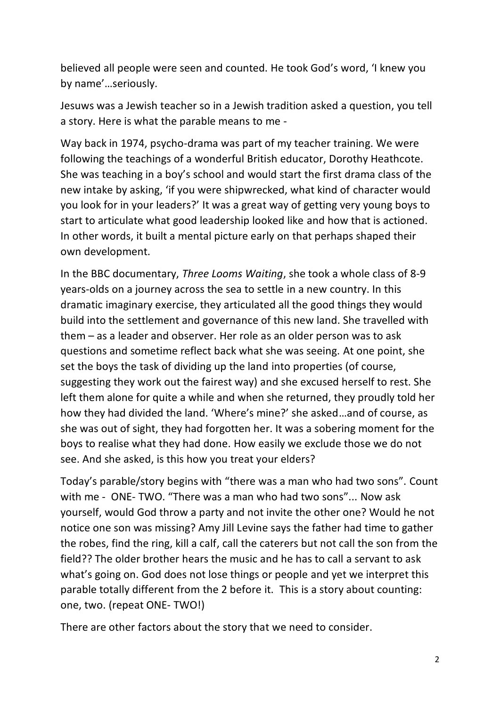believed all people were seen and counted. He took God's word, 'I knew you by name'…seriously.

Jesuws was a Jewish teacher so in a Jewish tradition asked a question, you tell a story. Here is what the parable means to me -

Way back in 1974, psycho-drama was part of my teacher training. We were following the teachings of a wonderful British educator, Dorothy Heathcote. She was teaching in a boy's school and would start the first drama class of the new intake by asking, 'if you were shipwrecked, what kind of character would you look for in your leaders?' It was a great way of getting very young boys to start to articulate what good leadership looked like and how that is actioned. In other words, it built a mental picture early on that perhaps shaped their own development.

In the BBC documentary, *Three Looms Waiting*, she took a whole class of 8-9 years-olds on a journey across the sea to settle in a new country. In this dramatic imaginary exercise, they articulated all the good things they would build into the settlement and governance of this new land. She travelled with them – as a leader and observer. Her role as an older person was to ask questions and sometime reflect back what she was seeing. At one point, she set the boys the task of dividing up the land into properties (of course, suggesting they work out the fairest way) and she excused herself to rest. She left them alone for quite a while and when she returned, they proudly told her how they had divided the land. 'Where's mine?' she asked…and of course, as she was out of sight, they had forgotten her. It was a sobering moment for the boys to realise what they had done. How easily we exclude those we do not see. And she asked, is this how you treat your elders?

Today's parable/story begins with "there was a man who had two sons". Count with me - ONE- TWO. "There was a man who had two sons"... Now ask yourself, would God throw a party and not invite the other one? Would he not notice one son was missing? Amy Jill Levine says the father had time to gather the robes, find the ring, kill a calf, call the caterers but not call the son from the field?? The older brother hears the music and he has to call a servant to ask what's going on. God does not lose things or people and yet we interpret this parable totally different from the 2 before it. This is a story about counting: one, two. (repeat ONE- TWO!)

There are other factors about the story that we need to consider.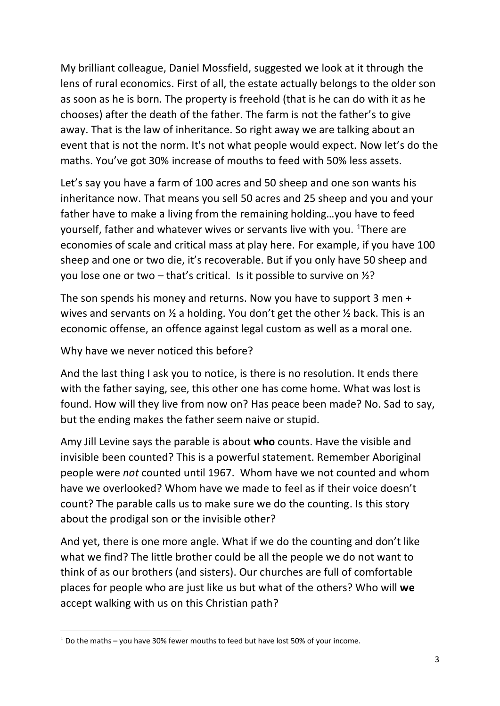My brilliant colleague, Daniel Mossfield, suggested we look at it through the lens of rural economics. First of all, the estate actually belongs to the older son as soon as he is born. The property is freehold (that is he can do with it as he chooses) after the death of the father. The farm is not the father's to give away. That is the law of inheritance. So right away we are talking about an event that is not the norm. It's not what people would expect. Now let's do the maths. You've got 30% increase of mouths to feed with 50% less assets.

Let's say you have a farm of 100 acres and 50 sheep and one son wants his inheritance now. That means you sell 50 acres and 25 sheep and you and your father have to make a living from the remaining holding…you have to feed yourself, father and whatever wives or servants live with you. <sup>1</sup>There are economies of scale and critical mass at play here. For example, if you have 100 sheep and one or two die, it's recoverable. But if you only have 50 sheep and you lose one or two – that's critical. Is it possible to survive on  $\frac{1}{2}$ ?

The son spends his money and returns. Now you have to support 3 men + wives and servants on ½ a holding. You don't get the other ½ back. This is an economic offense, an offence against legal custom as well as a moral one.

Why have we never noticed this before?

And the last thing I ask you to notice, is there is no resolution. It ends there with the father saying, see, this other one has come home. What was lost is found. How will they live from now on? Has peace been made? No. Sad to say, but the ending makes the father seem naive or stupid.

Amy Jill Levine says the parable is about **who** counts. Have the visible and invisible been counted? This is a powerful statement. Remember Aboriginal people were *not* counted until 1967. Whom have we not counted and whom have we overlooked? Whom have we made to feel as if their voice doesn't count? The parable calls us to make sure we do the counting. Is this story about the prodigal son or the invisible other?

And yet, there is one more angle. What if we do the counting and don't like what we find? The little brother could be all the people we do not want to think of as our brothers (and sisters). Our churches are full of comfortable places for people who are just like us but what of the others? Who will **we** accept walking with us on this Christian path?

 $1$  Do the maths – you have 30% fewer mouths to feed but have lost 50% of your income.